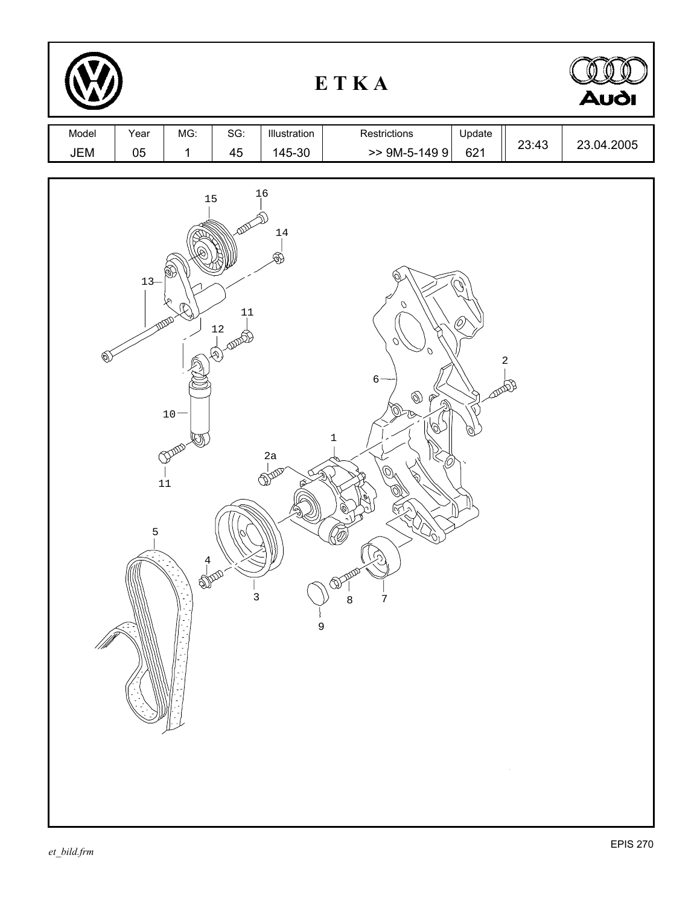| ETKA         |            |                                                           |                                          |                              |                                                                                                                                           |               | <b>Audi</b>      |            |
|--------------|------------|-----------------------------------------------------------|------------------------------------------|------------------------------|-------------------------------------------------------------------------------------------------------------------------------------------|---------------|------------------|------------|
| Model<br>JEM | Year<br>05 | MG:<br>$\mathbf 1$                                        | SG:<br>45                                | Illustration<br>145-30       | Restrictions<br>$>>$ 9M-5-149 9                                                                                                           | Update<br>621 | 23:43            | 23.04.2005 |
| (0)          | $13-$<br>5 | 15<br>∾<br>$10 -$<br>DAN<br>$11\,$<br>$\frac{4}{1}$<br>Ø) | 11<br>12<br><b>Notate</b><br>$\mathsf 3$ | 1,6<br>14<br>Ŕ<br>2a<br>2000 | $\mathcal{O}$<br>Ω<br>$6 -$<br>$\circledS$<br>☞<br>ি<br>Ø,<br>$\ensuremath{\mathbbm{1}}$<br>C<br>TS<br>$\overline{7}$<br>8<br>$\mathsf 9$ | <b>DUDOB</b>  | $\boldsymbol{2}$ |            |